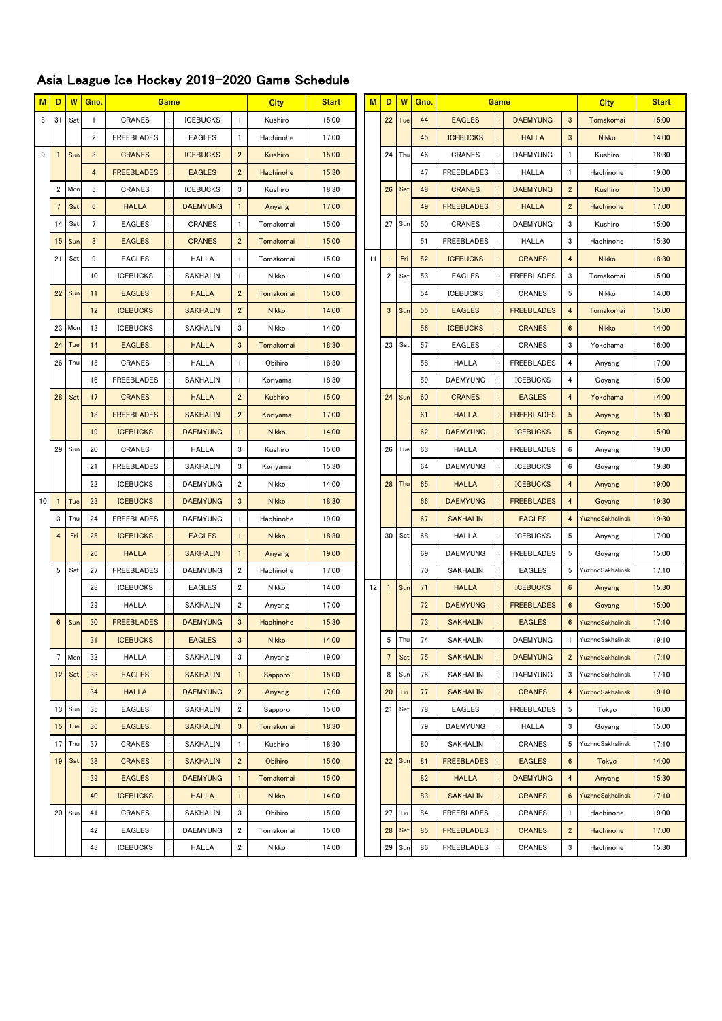## Asia League Ice Hockey 2019-2020 Game Schedule

| M  | D               | W      | Gno.                    | Game              |  |                 | <b>City</b>             | <b>Start</b> | M<br>D |    | W               | Gno.   |    | Game              |  | <b>City</b>       | <b>Start</b>            |                  |       |
|----|-----------------|--------|-------------------------|-------------------|--|-----------------|-------------------------|--------------|--------|----|-----------------|--------|----|-------------------|--|-------------------|-------------------------|------------------|-------|
| 8  | 31              | Sat    | $\mathbf{1}$            | <b>CRANES</b>     |  | <b>ICEBUCKS</b> | $\overline{1}$          | Kushiro      | 15:00  |    |                 | 22 Tue | 44 | <b>EAGLES</b>     |  | <b>DAEMYUNG</b>   | $\mathbf{3}$            | Tomakomai        | 15:00 |
|    |                 |        | $\overline{\mathbf{2}}$ | <b>FREEBLADES</b> |  | <b>EAGLES</b>   | $\mathbf{1}$            | Hachinohe    | 17:00  |    |                 |        | 45 | <b>ICEBUCKS</b>   |  | <b>HALLA</b>      | $\mathbf{3}$            | <b>Nikko</b>     | 14:00 |
| 9  |                 | Sun    | $\mathbf{3}$            | <b>CRANES</b>     |  | <b>ICEBUCKS</b> | $\overline{2}$          | Kushiro      | 15:00  |    |                 | 24 Thu | 46 | <b>CRANES</b>     |  | <b>DAEMYUNG</b>   | $\mathbf{1}$            | Kushiro          | 18:30 |
|    |                 |        | $\overline{4}$          | <b>FREEBLADES</b> |  | <b>EAGLES</b>   | $\overline{2}$          | Hachinohe    | 15:30  |    |                 |        | 47 | <b>FREEBLADES</b> |  | <b>HALLA</b>      | $\mathbf{1}$            | Hachinohe        | 19:00 |
|    | $\overline{2}$  | Mon    | 5                       | CRANES            |  | <b>ICEBUCKS</b> | 3                       | Kushiro      | 18:30  |    |                 | 26 Sat | 48 | <b>CRANES</b>     |  | <b>DAEMYUNG</b>   | $\overline{2}$          | Kushiro          | 15:00 |
|    | $7\phantom{.0}$ | Sat    | $6\phantom{.0}$         | <b>HALLA</b>      |  | <b>DAEMYUNG</b> | $\mathbf{1}$            | Anyang       | 17:00  |    |                 |        | 49 | <b>FREEBLADES</b> |  | <b>HALLA</b>      | $\overline{2}$          | Hachinohe        | 17:00 |
|    | 14              | Sat    | $7\overline{ }$         | <b>EAGLES</b>     |  | CRANES          | $\mathbf{1}$            | Tomakomai    | 15:00  |    |                 | 27 Sun | 50 | CRANES            |  | <b>DAEMYUNG</b>   | 3                       | Kushiro          | 15:00 |
|    | 15              | Sur    | 8                       | <b>EAGLES</b>     |  | <b>CRANES</b>   | $\overline{2}$          | Tomakomai    | 15:00  |    |                 |        | 51 | <b>FREEBLADES</b> |  | <b>HALLA</b>      | 3                       | Hachinohe        | 15:30 |
|    | 21              | Sat    | 9                       | <b>EAGLES</b>     |  | <b>HALLA</b>    | $\overline{1}$          | Tomakomai    | 15:00  | 11 | $\mathbf{1}$    | Fri    | 52 | <b>ICEBUCKS</b>   |  | <b>CRANES</b>     | $\overline{\mathbf{4}}$ | <b>Nikko</b>     | 18:30 |
|    |                 |        | 10                      | <b>ICEBUCKS</b>   |  | SAKHALIN        | $\overline{1}$          | Nikko        | 14:00  |    | $\overline{2}$  | Sat    | 53 | <b>EAGLES</b>     |  | <b>FREEBLADES</b> | 3                       | Tomakomai        | 15:00 |
|    | 22              | Sun    | 11                      | <b>EAGLES</b>     |  | <b>HALLA</b>    | $\overline{2}$          | Tomakomai    | 15:00  |    |                 |        | 54 | <b>ICEBUCKS</b>   |  | CRANES            | 5                       | Nikko            | 14:00 |
|    |                 |        | 12                      | <b>ICEBUCKS</b>   |  | <b>SAKHALIN</b> | $\overline{2}$          | <b>Nikko</b> | 14:00  |    | $\mathbf{3}$    | Sun    | 55 | <b>EAGLES</b>     |  | <b>FREEBLADES</b> | $\overline{4}$          | Tomakomai        | 15:00 |
|    | 23              | Mon    | 13                      | <b>ICEBUCKS</b>   |  | SAKHALIN        | 3                       | Nikko        | 14:00  |    |                 |        | 56 | <b>ICEBUCKS</b>   |  | <b>CRANES</b>     | $6\phantom{1}$          | <b>Nikko</b>     | 14:00 |
|    | 24              | Tue    | 14                      | <b>EAGLES</b>     |  | <b>HALLA</b>    | 3                       | Tomakomai    | 18:30  |    | 23 Sat          |        | 57 | <b>EAGLES</b>     |  | CRANES            | 3                       | Yokohama         | 16:00 |
|    | 26              | Thu    | 15                      | CRANES            |  | <b>HALLA</b>    | $\mathbf{1}$            | Obihiro      | 18:30  |    |                 |        | 58 | <b>HALLA</b>      |  | <b>FREEBLADES</b> | 4                       | Anyang           | 17:00 |
|    |                 |        | 16                      | <b>FREEBLADES</b> |  | SAKHALIN        | $\overline{1}$          | Koriyama     | 18:30  |    |                 |        | 59 | <b>DAEMYUNG</b>   |  | <b>ICEBUCKS</b>   | 4                       | Goyang           | 15:00 |
|    | 28              | Sat    | 17                      | <b>CRANES</b>     |  | <b>HALLA</b>    | $\overline{2}$          | Kushiro      | 15:00  |    |                 | 24 Sun | 60 | <b>CRANES</b>     |  | <b>EAGLES</b>     | $\overline{\mathbf{4}}$ | Yokohama         | 14:00 |
|    |                 |        | 18                      | <b>FREEBLADES</b> |  | <b>SAKHALIN</b> | $\overline{2}$          | Koriyama     | 17:00  |    |                 |        | 61 | <b>HALLA</b>      |  | <b>FREEBLADES</b> | $\sqrt{5}$              | Anyang           | 15:30 |
|    |                 |        | 19                      | <b>ICEBUCKS</b>   |  | <b>DAEMYUNG</b> | $\mathbf{1}$            | <b>Nikko</b> | 14:00  |    |                 |        | 62 | <b>DAEMYUNG</b>   |  | <b>ICEBUCKS</b>   | $\overline{5}$          | Goyang           | 15:00 |
|    | 29              | Sun    | 20                      | CRANES            |  | <b>HALLA</b>    | 3                       | Kushiro      | 15:00  |    |                 | 26 Tue | 63 | <b>HALLA</b>      |  | <b>FREEBLADES</b> | 6                       | Anyang           | 19:00 |
|    |                 |        | 21                      | <b>FREEBLADES</b> |  | SAKHALIN        | 3                       | Koriyama     | 15:30  |    |                 |        | 64 | <b>DAEMYUNG</b>   |  | <b>ICEBUCKS</b>   | 6                       | Goyang           | 19:30 |
|    |                 |        | 22                      | <b>ICEBUCKS</b>   |  | <b>DAEMYUNG</b> | $\overline{\mathbf{c}}$ | Nikko        | 14:00  |    |                 | 28 Thu | 65 | <b>HALLA</b>      |  | <b>ICEBUCKS</b>   | $\overline{\mathbf{4}}$ | Anyang           | 19:00 |
| 10 |                 | Tue    | 23                      | <b>ICEBUCKS</b>   |  | <b>DAEMYUNG</b> | $\mathbf{3}$            | <b>Nikko</b> | 18:30  |    |                 |        | 66 | <b>DAEMYUNG</b>   |  | <b>FREEBLADES</b> | 4                       | Goyang           | 19:30 |
|    | 3               | Thu    | 24                      | <b>FREEBLADES</b> |  | <b>DAEMYUNG</b> | $\mathbf{1}$            | Hachinohe    | 19:00  |    |                 |        | 67 | <b>SAKHALIN</b>   |  | <b>EAGLES</b>     | 4                       | YuzhnoSakhalinsk | 19:30 |
|    | $\overline{4}$  | Fr     | 25                      | <b>ICEBUCKS</b>   |  | <b>EAGLES</b>   | 1                       | <b>Nikko</b> | 18:30  |    | 30 Sat          |        | 68 | <b>HALLA</b>      |  | <b>ICEBUCKS</b>   | 5                       | Anyang           | 17:00 |
|    |                 |        | 26                      | <b>HALLA</b>      |  | <b>SAKHALIN</b> | $\mathbf{1}$            | Anyang       | 19:00  |    |                 |        | 69 | <b>DAEMYUNG</b>   |  | <b>FREEBLADES</b> | 5                       | Goyang           | 15:00 |
|    | 5               | Sat    | 27                      | <b>FREEBLADES</b> |  | <b>DAEMYUNG</b> | $\overline{2}$          | Hachinohe    | 17:00  |    |                 |        | 70 | SAKHALIN          |  | <b>EAGLES</b>     | 5                       | YuzhnoSakhalinsk | 17:10 |
|    |                 |        | 28                      | <b>ICEBUCKS</b>   |  | EAGLES          | $\overline{\mathbf{c}}$ | Nikko        | 14:00  | 12 | $\mathbf{1}$    | Sun    | 71 | <b>HALLA</b>      |  | <b>ICEBUCKS</b>   | $\boldsymbol{6}$        | Anyang           | 15:30 |
|    |                 |        | 29                      | <b>HALLA</b>      |  | SAKHALIN        | $\overline{2}$          | Anyang       | 17:00  |    |                 |        | 72 | <b>DAEMYUNG</b>   |  | <b>FREEBLADES</b> | $6\phantom{1}$          | Goyang           | 15:00 |
|    | 6               | Sun    | 30                      | <b>FREEBLADES</b> |  | <b>DAEMYUNG</b> | 3                       | Hachinohe    | 15:30  |    |                 |        | 73 | <b>SAKHALIN</b>   |  | <b>EAGLES</b>     | 6                       | YuzhnoSakhalinsk | 17:10 |
|    |                 |        | 31                      | <b>ICEBUCKS</b>   |  | <b>EAGLES</b>   | 3                       | <b>Nikko</b> | 14:00  |    |                 | 5 Thu  | 74 | SAKHALIN          |  | <b>DAEMYUNG</b>   |                         | YuzhnoSakhalinsk | 19:10 |
|    |                 | 7 Mon  | 32                      | <b>HALLA</b>      |  | <b>SAKHALIN</b> | 3                       | Anyang       | 19:00  |    | $7\overline{ }$ | Sat    | 75 | <b>SAKHALIN</b>   |  | <b>DAEMYUNG</b>   | $\overline{2}$          | YuzhnoSakhalinsk | 17:10 |
|    | 12              | Sat    | 33                      | <b>EAGLES</b>     |  | <b>SAKHALIN</b> | $\mathbf{1}$            | Sapporo      | 15:00  |    | 8               | Sun    | 76 | SAKHALIN          |  | <b>DAEMYUNG</b>   | 3                       | YuzhnoSakhalinsk | 17:10 |
|    |                 |        | 34                      | <b>HALLA</b>      |  | <b>DAEMYUNG</b> | $\overline{2}$          | Anyang       | 17:00  |    | 20              | Fri    | 77 | <b>SAKHALIN</b>   |  | <b>CRANES</b>     | $\overline{4}$          | YuzhnoSakhalinsk | 19:10 |
|    |                 | 13 Sun | 35                      | <b>EAGLES</b>     |  | SAKHALIN        | $\overline{2}$          | Sapporo      | 15:00  |    | 21 Sat          |        | 78 | <b>EAGLES</b>     |  | <b>FREEBLADES</b> | 5                       | Tokyo            | 16:00 |
|    |                 | 15 Tue | 36                      | <b>EAGLES</b>     |  | <b>SAKHALIN</b> | 3                       | Tomakomai    | 18:30  |    |                 |        | 79 | <b>DAEMYUNG</b>   |  | <b>HALLA</b>      | 3                       | Goyang           | 15:00 |
|    | 17              | Thu    | 37                      | CRANES            |  | SAKHALIN        | $\mathbf{1}$            | Kushiro      | 18:30  |    |                 |        | 80 | SAKHALIN          |  | CRANES            | 5                       | YuzhnoSakhalinsk | 17:10 |
|    |                 | 19 Sat | 38                      | <b>CRANES</b>     |  | <b>SAKHALIN</b> | $\overline{2}$          | Obihiro      | 15:00  |    |                 | 22 Sun | 81 | <b>FREEBLADES</b> |  | <b>EAGLES</b>     | $6\phantom{1}$          | Tokyo            | 14:00 |
|    |                 |        | 39                      | <b>EAGLES</b>     |  | <b>DAEMYUNG</b> | $\mathbf{1}$            | Tomakomai    | 15:00  |    |                 |        | 82 | <b>HALLA</b>      |  | <b>DAEMYUNG</b>   | 4                       | Anyang           | 15:30 |
|    |                 |        | 40                      | <b>ICEBUCKS</b>   |  | <b>HALLA</b>    | $\mathbf{1}$            | <b>Nikko</b> | 14:00  |    |                 |        | 83 | <b>SAKHALIN</b>   |  | <b>CRANES</b>     | 6                       | YuzhnoSakhalinsk | 17:10 |
|    | 20              | Sun    | 41                      | CRANES            |  | SAKHALIN        | 3                       | Obihiro      | 15:00  |    | 27              | Fri    | 84 | <b>FREEBLADES</b> |  | CRANES            | $\mathbf{1}$            | Hachinohe        | 19:00 |
|    |                 |        | 42                      | <b>EAGLES</b>     |  | <b>DAEMYUNG</b> | $\overline{\mathbf{2}}$ | Tomakomai    | 15:00  |    | 28              | Sat    | 85 | <b>FREEBLADES</b> |  | <b>CRANES</b>     | $\overline{2}$          | Hachinohe        | 17:00 |
|    |                 |        | 43                      | <b>ICEBUCKS</b>   |  | <b>HALLA</b>    | $\overline{\mathbf{2}}$ | Nikko        | 14:00  |    | 29              | Sun    | 86 | <b>FREEBLADES</b> |  | CRANES            | 3                       | Hachinohe        | 15:30 |